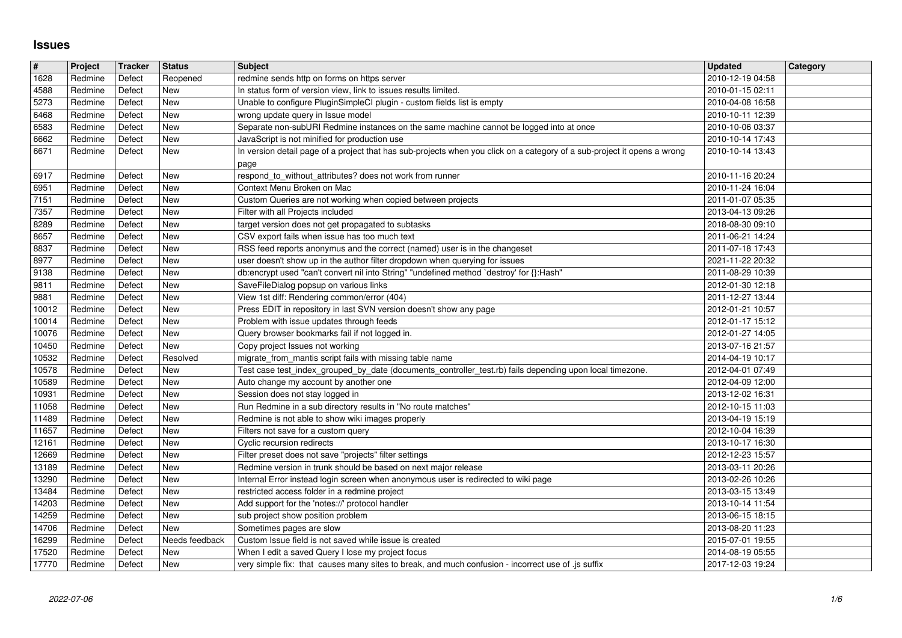## **Issues**

|                | Project                   | Tracker          | Status                       | <b>Subject</b>                                                                                                                      | <b>Updated</b>                       | <b>Category</b> |
|----------------|---------------------------|------------------|------------------------------|-------------------------------------------------------------------------------------------------------------------------------------|--------------------------------------|-----------------|
| 1628           | Redmine                   | Defect           | Reopened                     | redmine sends http on forms on https server                                                                                         | 2010-12-19 04:58                     |                 |
| 4588<br>5273   | Redmine                   | Defect           | <b>New</b><br><b>New</b>     | In status form of version view, link to issues results limited.                                                                     | 2010-01-15 02:11                     |                 |
| 6468           | Redmine<br>Redmine        | Defect<br>Defect | <b>New</b>                   | Unable to configure PluginSimpleCI plugin - custom fields list is empty<br>wrong update query in Issue model                        | 2010-04-08 16:58<br>2010-10-11 12:39 |                 |
| 6583           | Redmine                   | Defect           | <b>New</b>                   | Separate non-subURI Redmine instances on the same machine cannot be logged into at once                                             | 2010-10-06 03:37                     |                 |
| 6662           | Redmine                   | Defect           | New                          | JavaScript is not minified for production use                                                                                       | 2010-10-14 17:43                     |                 |
| 6671           | Redmine                   | Defect           | New                          | In version detail page of a project that has sub-projects when you click on a category of a sub-project it opens a wrong            | 2010-10-14 13:43                     |                 |
| 6917           | Redmine                   | Defect           | <b>New</b>                   | page<br>respond_to_without_attributes? does not work from runner                                                                    | 2010-11-16 20:24                     |                 |
| 6951           | Redmine                   | Defect           | <b>New</b>                   | Context Menu Broken on Mac                                                                                                          | 2010-11-24 16:04                     |                 |
| 7151           | Redmine                   | Defect           | <b>New</b>                   | Custom Queries are not working when copied between projects                                                                         | 2011-01-07 05:35                     |                 |
| 7357           | Redmine                   | Defect           | <b>New</b>                   | Filter with all Projects included                                                                                                   | 2013-04-13 09:26                     |                 |
| 8289<br>8657   | Redmine<br>Redmine        | Defect<br>Defect | <b>New</b><br>New            | target version does not get propagated to subtasks<br>CSV export fails when issue has too much text                                 | 2018-08-30 09:10<br>2011-06-21 14:24 |                 |
| 8837           | Redmine                   | Defect           | <b>New</b>                   | RSS feed reports anonymus and the correct (named) user is in the changeset                                                          | 2011-07-18 17:43                     |                 |
| 8977           | Redmine                   | Defect           | <b>New</b>                   | user doesn't show up in the author filter dropdown when querying for issues                                                         | 2021-11-22 20:32                     |                 |
| 9138           | Redmine                   | Defect           | New                          | db:encrypt used "can't convert nil into String" "undefined method `destroy' for {}:Hash"                                            | 2011-08-29 10:39                     |                 |
| 9811<br>9881   | Redmine<br>Redmine        | Defect<br>Defect | <b>New</b><br><b>New</b>     | SaveFileDialog popsup on various links<br>View 1st diff: Rendering common/error (404)                                               | 2012-01-30 12:18<br>2011-12-27 13:44 |                 |
| 10012          | Redmine                   | Defect           | <b>New</b>                   | Press EDIT in repository in last SVN version doesn't show any page                                                                  | 2012-01-21 10:57                     |                 |
| 10014          | Redmine                   | Defect           | <b>New</b>                   | Problem with issue updates through feeds                                                                                            | 2012-01-17 15:12                     |                 |
| 10076          | Redmine                   | Defect           | <b>New</b>                   | Query browser bookmarks fail if not logged in.                                                                                      | 2012-01-27 14:05                     |                 |
| 10450<br>10532 | Redmine<br>Redmine        | Defect<br>Defect | <b>New</b><br>Resolved       | Copy project Issues not working<br>migrate_from_mantis script fails with missing table name                                         | 2013-07-16 21:57<br>2014-04-19 10:17 |                 |
| 10578          | Redmine                   | Defect           | <b>New</b>                   | Test case test_index_grouped_by_date (documents_controller_test.rb) fails depending upon local timezone.                            | 2012-04-01 07:49                     |                 |
| 10589          | Redmine                   | Defect           | <b>New</b>                   | Auto change my account by another one                                                                                               | 2012-04-09 12:00                     |                 |
| 10931          | Redmine                   | Defect           | <b>New</b>                   | Session does not stay logged in                                                                                                     | 2013-12-02 16:31                     |                 |
| 11058<br>11489 | Redmine<br>Redmine        | Defect<br>Defect | <b>New</b><br><b>New</b>     | Run Redmine in a sub directory results in "No route matches"<br>Redmine is not able to show wiki images properly                    | 2012-10-15 11:03<br>2013-04-19 15:19 |                 |
| 11657          | Redmine                   | Defect           | <b>New</b>                   | Filters not save for a custom query                                                                                                 | 2012-10-04 16:39                     |                 |
| 12161          | Redmine                   | Defect           | <b>New</b>                   | Cyclic recursion redirects                                                                                                          | 2013-10-17 16:30                     |                 |
| 12669          | Redmine                   | Defect           | <b>New</b>                   | Filter preset does not save "projects" filter settings                                                                              | 2012-12-23 15:57                     |                 |
| 13189          | Redmine                   | Defect           | <b>New</b><br><b>New</b>     | Redmine version in trunk should be based on next major release                                                                      | 2013-03-11 20:26                     |                 |
| 13290<br>13484 | Redmine<br>Redmine        | Defect<br>Defect | <b>New</b>                   | Internal Error instead login screen when anonymous user is redirected to wiki page<br>restricted access folder in a redmine project | 2013-02-26 10:26<br>2013-03-15 13:49 |                 |
| 14203          | Redmine                   | Defect           | <b>New</b>                   | Add support for the 'notes://' protocol handler                                                                                     | 2013-10-14 11:54                     |                 |
| 14259          | Redmine                   | Defect           | <b>New</b>                   | sub project show position problem                                                                                                   | 2013-06-15 18:15                     |                 |
| 14706<br>16299 | Redmine<br>Redmine Defect | Defect           | <b>New</b><br>Needs feedback | Sometimes pages are slow<br>Custom Issue field is not saved while issue is created                                                  | 2013-08-20 11:23<br>2015-07-01 19:55 |                 |
| 17520          | Redmine                   | Defect           | New                          | When I edit a saved Query I lose my project focus                                                                                   | 2014-08-19 05:55                     |                 |
| 17770          | Redmine                   | Defect           | New                          | very simple fix: that causes many sites to break, and much confusion - incorrect use of .js suffix                                  | 2017-12-03 19:24                     |                 |
|                |                           |                  |                              |                                                                                                                                     |                                      |                 |
|                |                           |                  |                              |                                                                                                                                     |                                      |                 |
|                |                           |                  |                              |                                                                                                                                     |                                      |                 |
|                |                           |                  |                              |                                                                                                                                     |                                      |                 |
|                |                           |                  |                              |                                                                                                                                     |                                      |                 |
|                |                           |                  |                              |                                                                                                                                     |                                      |                 |
|                |                           |                  |                              |                                                                                                                                     |                                      |                 |
|                |                           |                  |                              |                                                                                                                                     |                                      |                 |
|                |                           |                  |                              |                                                                                                                                     |                                      |                 |
|                |                           |                  |                              |                                                                                                                                     |                                      |                 |
|                |                           |                  |                              |                                                                                                                                     |                                      |                 |
|                |                           |                  |                              |                                                                                                                                     |                                      |                 |
|                |                           |                  |                              |                                                                                                                                     |                                      |                 |
|                |                           |                  |                              |                                                                                                                                     |                                      |                 |
|                |                           |                  |                              |                                                                                                                                     |                                      |                 |
|                |                           |                  |                              |                                                                                                                                     |                                      |                 |
|                |                           |                  |                              |                                                                                                                                     |                                      |                 |
|                |                           |                  |                              |                                                                                                                                     |                                      |                 |
|                |                           |                  |                              |                                                                                                                                     |                                      |                 |
|                |                           |                  |                              |                                                                                                                                     |                                      |                 |
|                |                           |                  |                              |                                                                                                                                     |                                      |                 |
|                |                           |                  |                              |                                                                                                                                     |                                      |                 |
|                |                           |                  |                              |                                                                                                                                     |                                      |                 |
|                |                           |                  |                              |                                                                                                                                     |                                      |                 |
|                |                           |                  |                              |                                                                                                                                     |                                      |                 |
|                |                           |                  |                              |                                                                                                                                     |                                      |                 |
|                |                           |                  |                              |                                                                                                                                     |                                      |                 |
|                |                           |                  |                              |                                                                                                                                     |                                      |                 |
|                |                           |                  |                              |                                                                                                                                     |                                      |                 |
|                |                           |                  |                              |                                                                                                                                     |                                      |                 |
|                |                           |                  |                              |                                                                                                                                     |                                      |                 |
|                |                           |                  |                              |                                                                                                                                     |                                      |                 |
|                |                           |                  |                              |                                                                                                                                     |                                      |                 |
|                |                           |                  |                              |                                                                                                                                     |                                      |                 |
|                |                           |                  |                              |                                                                                                                                     |                                      |                 |
|                |                           |                  |                              |                                                                                                                                     |                                      |                 |
|                |                           |                  |                              |                                                                                                                                     |                                      |                 |
|                |                           |                  |                              |                                                                                                                                     |                                      |                 |
|                |                           |                  |                              |                                                                                                                                     |                                      |                 |
|                |                           |                  |                              |                                                                                                                                     |                                      |                 |
|                |                           |                  |                              |                                                                                                                                     |                                      |                 |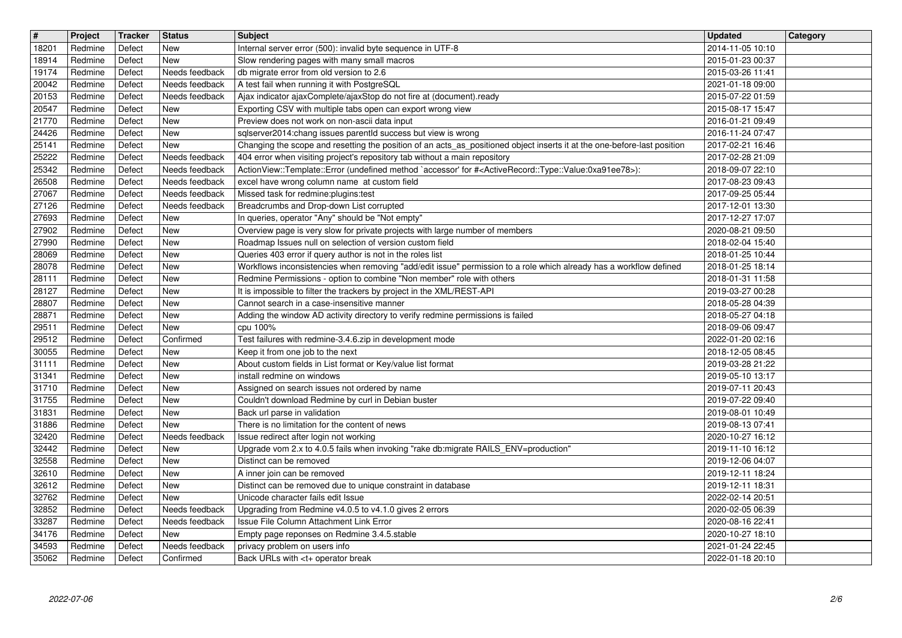| $\overline{\mathbf{H}}$ | Project            | Tracker          | <b>Status</b>                    | <b>Subject</b>                                                                                                                                                                                                             | <b>Updated</b><br><b>Category</b>    |
|-------------------------|--------------------|------------------|----------------------------------|----------------------------------------------------------------------------------------------------------------------------------------------------------------------------------------------------------------------------|--------------------------------------|
| 18201<br>18914          | Redmine<br>Redmine | Defect<br>Defect | New<br>New                       | Internal server error (500): invalid byte sequence in UTF-8<br>Slow rendering pages with many small macros                                                                                                                 | 2014-11-05 10:10<br>2015-01-23 00:37 |
| 19174                   | Redmine            | Defect           | Needs feedback                   | db migrate error from old version to 2.6                                                                                                                                                                                   | 2015-03-26 11:41                     |
| 20042<br>20153          | Redmine<br>Redmine | Defect<br>Defect | Needs feedback<br>Needs feedback | A test fail when running it with PostgreSQL<br>Ajax indicator ajaxComplete/ajaxStop do not fire at (document).ready                                                                                                        | 2021-01-18 09:00<br>2015-07-22 01:59 |
| 20547                   | Redmine            | Defect           | New                              | Exporting CSV with multiple tabs open can export wrong view                                                                                                                                                                | 2015-08-17 15:47                     |
| 21770<br>24426          | Redmine<br>Redmine | Defect<br>Defect | New<br>New                       | Preview does not work on non-ascii data input<br>sqlserver2014:chang issues parentld success but view is wrong                                                                                                             | 2016-01-21 09:49<br>2016-11-24 07:47 |
| 25141                   | Redmine            | Defect           | New                              | Changing the scope and resetting the position of an acts_as_positioned object inserts it at the one-before-last position                                                                                                   | 2017-02-21 16:46                     |
| 25222<br>25342          | Redmine<br>Redmine | Defect<br>Defect | Needs feedback<br>Needs feedback | 404 error when visiting project's repository tab without a main repository<br>ActionView::Template::Error (undefined method `accessor' for # <activerecord::type::value:0xa91ee78>):</activerecord::type::value:0xa91ee78> | 2017-02-28 21:09<br>2018-09-07 22:10 |
| 26508                   | Redmine            | Defect           | Needs feedback                   | excel have wrong column name at custom field                                                                                                                                                                               | 2017-08-23 09:43                     |
| 27067<br>27126          | Redmine<br>Redmine | Defect<br>Defect | Needs feedback<br>Needs feedback | Missed task for redmine: plugins: test<br>Breadcrumbs and Drop-down List corrupted                                                                                                                                         | 2017-09-25 05:44<br>2017-12-01 13:30 |
| 27693                   | Redmine            | Defect           | New                              | In queries, operator "Any" should be "Not empty"                                                                                                                                                                           | 2017-12-27 17:07                     |
| 27902<br>27990          | Redmine<br>Redmine | Defect<br>Defect | New<br>New                       | Overview page is very slow for private projects with large number of members<br>Roadmap Issues null on selection of version custom field                                                                                   | 2020-08-21 09:50<br>2018-02-04 15:40 |
| 28069                   | Redmine            | Defect           | New                              | Queries 403 error if query author is not in the roles list                                                                                                                                                                 | 2018-01-25 10:44                     |
| 28078<br>28111          | Redmine<br>Redmine | Defect<br>Defect | <b>New</b><br>New                | Workflows inconsistencies when removing "add/edit issue" permission to a role which already has a workflow defined<br>Redmine Permissions - option to combine "Non member" role with others                                | 2018-01-25 18:14<br>2018-01-31 11:58 |
| 28127                   | Redmine            | Defect           | New                              | It is impossible to filter the trackers by project in the XML/REST-API                                                                                                                                                     | 2019-03-27 00:28                     |
| 28807<br>28871          | Redmine<br>Redmine | Defect<br>Defect | New<br>New                       | Cannot search in a case-insensitive manner<br>Adding the window AD activity directory to verify redmine permissions is failed                                                                                              | 2018-05-28 04:39<br>2018-05-27 04:18 |
| 29511                   | Redmine            | Defect           | New                              | cpu 100%                                                                                                                                                                                                                   | 2018-09-06 09:47                     |
| 29512<br>30055          | Redmine<br>Redmine | Defect<br>Defect | Confirmed<br>New                 | Test failures with redmine-3.4.6.zip in development mode<br>Keep it from one job to the next                                                                                                                               | 2022-01-20 02:16<br>2018-12-05 08:45 |
| 31111                   | Redmine            | Defect           | New                              | About custom fields in List format or Key/value list format                                                                                                                                                                | 2019-03-28 21:22                     |
| 31341<br>31710          | Redmine<br>Redmine | Defect<br>Defect | New<br>New                       | install redmine on windows<br>Assigned on search issues not ordered by name                                                                                                                                                | 2019-05-10 13:17<br>2019-07-11 20:43 |
| 31755                   | Redmine            | Defect           | New                              | Couldn't download Redmine by curl in Debian buster                                                                                                                                                                         | 2019-07-22 09:40                     |
| 31831<br>31886          | Redmine<br>Redmine | Defect<br>Defect | New<br>New                       | Back url parse in validation<br>There is no limitation for the content of news                                                                                                                                             | 2019-08-01 10:49<br>2019-08-13 07:41 |
| 32420                   | Redmine            | Defect           | Needs feedback                   | Issue redirect after login not working                                                                                                                                                                                     | 2020-10-27 16:12                     |
| 32442                   | Redmine            | Defect           | New                              | Upgrade vom 2.x to 4.0.5 fails when invoking "rake db:migrate RAILS_ENV=production"                                                                                                                                        | 2019-11-10 16:12                     |
| 32558<br>32610          | Redmine<br>Redmine | Defect<br>Defect | New<br><b>New</b>                | Distinct can be removed<br>A inner join can be removed                                                                                                                                                                     | 2019-12-06 04:07<br>2019-12-11 18:24 |
| 32612                   | Redmine            | Defect           | <b>New</b>                       | Distinct can be removed due to unique constraint in database                                                                                                                                                               | 2019-12-11 18:31<br>2022-02-14 20:51 |
| 32762<br>32852          | Redmine<br>Redmine | Defect<br>Defect | New<br>Needs feedback            | Unicode character fails edit Issue<br>Upgrading from Redmine v4.0.5 to v4.1.0 gives 2 errors                                                                                                                               | 2020-02-05 06:39                     |
| 33287<br>34176          | Redmine<br>Redmine | Defect<br>Defect | Needs feedback                   | Issue File Column Attachment Link Error<br>Empty page reponses on Redmine 3.4.5.stable                                                                                                                                     | 2020-08-16 22:41<br>2020-10-27 18:10 |
| 34593                   | Redmine            | Defect           | New<br>Needs feedback            | privacy problem on users info                                                                                                                                                                                              | 2021-01-24 22:45                     |
| 35062                   | Redmine            | Defect           | Confirmed                        | Back URLs with <t+ break<="" operator="" td=""><td>2022-01-18 20:10</td></t+>                                                                                                                                              | 2022-01-18 20:10                     |
|                         |                    |                  |                                  |                                                                                                                                                                                                                            |                                      |
|                         |                    |                  |                                  |                                                                                                                                                                                                                            |                                      |
|                         |                    |                  |                                  |                                                                                                                                                                                                                            |                                      |
|                         |                    |                  |                                  |                                                                                                                                                                                                                            |                                      |
|                         |                    |                  |                                  |                                                                                                                                                                                                                            |                                      |
|                         |                    |                  |                                  |                                                                                                                                                                                                                            |                                      |
|                         |                    |                  |                                  |                                                                                                                                                                                                                            |                                      |
|                         |                    |                  |                                  |                                                                                                                                                                                                                            |                                      |
|                         |                    |                  |                                  |                                                                                                                                                                                                                            |                                      |
|                         |                    |                  |                                  |                                                                                                                                                                                                                            |                                      |
|                         |                    |                  |                                  |                                                                                                                                                                                                                            |                                      |
|                         |                    |                  |                                  |                                                                                                                                                                                                                            |                                      |
|                         |                    |                  |                                  |                                                                                                                                                                                                                            |                                      |
|                         |                    |                  |                                  |                                                                                                                                                                                                                            |                                      |
|                         |                    |                  |                                  |                                                                                                                                                                                                                            |                                      |
|                         |                    |                  |                                  |                                                                                                                                                                                                                            |                                      |
|                         |                    |                  |                                  |                                                                                                                                                                                                                            |                                      |
|                         |                    |                  |                                  |                                                                                                                                                                                                                            |                                      |
|                         |                    |                  |                                  |                                                                                                                                                                                                                            |                                      |
|                         |                    |                  |                                  |                                                                                                                                                                                                                            |                                      |
|                         |                    |                  |                                  |                                                                                                                                                                                                                            |                                      |
|                         |                    |                  |                                  |                                                                                                                                                                                                                            |                                      |
|                         |                    |                  |                                  |                                                                                                                                                                                                                            |                                      |
|                         |                    |                  |                                  |                                                                                                                                                                                                                            |                                      |
|                         |                    |                  |                                  |                                                                                                                                                                                                                            |                                      |
|                         |                    |                  |                                  |                                                                                                                                                                                                                            |                                      |
|                         |                    |                  |                                  |                                                                                                                                                                                                                            |                                      |
|                         |                    |                  |                                  |                                                                                                                                                                                                                            |                                      |
|                         |                    |                  |                                  |                                                                                                                                                                                                                            |                                      |
|                         |                    |                  |                                  |                                                                                                                                                                                                                            |                                      |
|                         |                    |                  |                                  |                                                                                                                                                                                                                            |                                      |
|                         |                    |                  |                                  |                                                                                                                                                                                                                            |                                      |
|                         |                    |                  |                                  |                                                                                                                                                                                                                            |                                      |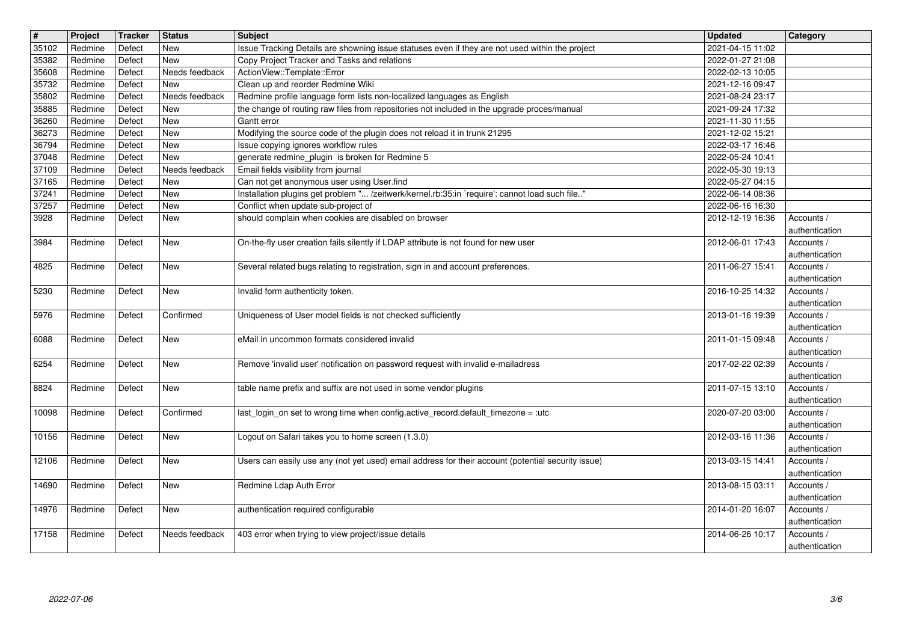| $\boxed{\texttt{#}}$ | Project              | Tracker          | Status                       | <b>Subject</b>                                                                                                                                  | <b>Updated</b>                       | Category                                       |
|----------------------|----------------------|------------------|------------------------------|-------------------------------------------------------------------------------------------------------------------------------------------------|--------------------------------------|------------------------------------------------|
| 35102<br>35382       | Redmine<br>Redmine   | Defect<br>Defect | New<br>New                   | Issue Tracking Details are showning issue statuses even if they are not used within the project<br>Copy Project Tracker and Tasks and relations | 2021-04-15 11:02<br>2022-01-27 21:08 |                                                |
| 35608                | Redmine              | Defect           | Needs feedback               | ActionView::Template::Error                                                                                                                     | 2022-02-13 10:05                     |                                                |
| 35732<br>35802       | Redmine<br>Redmine   | Defect<br>Defect | <b>New</b><br>Needs feedback | Clean up and reorder Redmine Wiki<br>Redmine profile language form lists non-localized languages as English                                     | 2021-12-16 09:47<br>2021-08-24 23:17 |                                                |
| 35885                | Redmine              | Defect           | New                          | the change of routing raw files from repositories not included in the upgrade proces/manual                                                     | 2021-09-24 17:32                     |                                                |
| 36260<br>36273       | Redmine<br>Redmine   | Defect<br>Defect | New<br>New                   | Gantt error<br>Modifying the source code of the plugin does not reload it in trunk 21295                                                        | 2021-11-30 11:55<br>2021-12-02 15:21 |                                                |
| 36794                | Redmine              | Defect           | New                          | Issue copying ignores workflow rules                                                                                                            | 2022-03-17 16:46                     |                                                |
| 37048<br>37109       | Redmine<br>Redmine   | Defect<br>Defect | <b>New</b><br>Needs feedback | generate redmine_plugin is broken for Redmine 5<br>Email fields visibility from journal                                                         | 2022-05-24 10:41<br>2022-05-30 19:13 |                                                |
| 37165                | Redmine              | Defect           | <b>New</b>                   | Can not get anonymous user using User.find                                                                                                      | 2022-05-27 04:15                     |                                                |
| 37241<br>37257       | Redmine<br>Redmine   | Defect<br>Defect | <b>New</b><br><b>New</b>     | Installation plugins get problem " /zeitwerk/kernel.rb:35:in `require': cannot load such file"<br>Conflict when update sub-project of           | 2022-06-14 08:36<br>2022-06-16 16:30 |                                                |
| 3928                 | Redmine              | Defect           | <b>New</b>                   | should complain when cookies are disabled on browser                                                                                            | 2012-12-19 16:36                     | Accounts /                                     |
| 3984                 | Redmine              | Defect           | New                          | On-the-fly user creation fails silently if LDAP attribute is not found for new user                                                             | 2012-06-01 17:43                     | authentication<br>Accounts /                   |
| 4825                 | Redmine              | Defect           | <b>New</b>                   | Several related bugs relating to registration, sign in and account preferences.                                                                 | 2011-06-27 15:41                     | authentication<br>Accounts /                   |
| 5230                 | Redmine              | Defect           | <b>New</b>                   | Invalid form authenticity token.                                                                                                                | 2016-10-25 14:32                     | authentication<br>Accounts /                   |
| 5976                 | Redmine              | Defect           | Confirmed                    | Uniqueness of User model fields is not checked sufficiently                                                                                     | 2013-01-16 19:39                     | authentication<br>Accounts /                   |
| 6088                 | Redmine              | Defect           | <b>New</b>                   | eMail in uncommon formats considered invalid                                                                                                    | 2011-01-15 09:48                     | authentication<br>Accounts /                   |
| 6254                 | Redmine              | Defect           | New                          | Remove 'invalid user' notification on password request with invalid e-mailadress                                                                | 2017-02-22 02:39                     | authentication<br>Accounts /                   |
| 8824                 | Redmine              | Defect           | New                          | table name prefix and suffix are not used in some vendor plugins                                                                                | 2011-07-15 13:10                     | authentication<br>Accounts /                   |
|                      |                      |                  |                              |                                                                                                                                                 |                                      | authentication                                 |
| 10098                | Redmine              | Defect           | Confirmed                    | last_login_on set to wrong time when config.active_record.default_timezone = :utc                                                               | 2020-07-20 03:00                     | Accounts /<br>authentication                   |
| 10156                | Redmine              | Defect           | <b>New</b>                   | Logout on Safari takes you to home screen (1.3.0)                                                                                               | 2012-03-16 11:36                     | Accounts /<br>authentication                   |
| 12106                | Redmine              | Defect           | New                          | Users can easily use any (not yet used) email address for their account (potential security issue)                                              | 2013-03-15 14:41                     | Accounts /<br>authentication                   |
| 14690                | Redmine              | Defect           | New                          | Redmine Ldap Auth Error                                                                                                                         | 2013-08-15 03:11                     | Accounts /<br>authentication                   |
|                      | 14976 Redmine Defect |                  | New                          | authentication required configurable                                                                                                            | 2014-01-20 16:07   Accounts /        |                                                |
| 17158                | Redmine              | Defect           | Needs feedback               | 403 error when trying to view project/issue details                                                                                             | 2014-06-26 10:17                     | authentication<br>Accounts /<br>authentication |
|                      |                      |                  |                              |                                                                                                                                                 |                                      | 3/6                                            |
|                      | 2022-07-06           |                  |                              |                                                                                                                                                 |                                      |                                                |
|                      |                      |                  |                              |                                                                                                                                                 |                                      |                                                |
|                      |                      |                  |                              |                                                                                                                                                 |                                      |                                                |
|                      |                      |                  |                              |                                                                                                                                                 |                                      |                                                |
|                      |                      |                  |                              |                                                                                                                                                 |                                      |                                                |
|                      |                      |                  |                              |                                                                                                                                                 |                                      |                                                |
|                      |                      |                  |                              |                                                                                                                                                 |                                      |                                                |
|                      |                      |                  |                              |                                                                                                                                                 |                                      |                                                |
|                      |                      |                  |                              |                                                                                                                                                 |                                      |                                                |
|                      |                      |                  |                              |                                                                                                                                                 |                                      |                                                |
|                      |                      |                  |                              |                                                                                                                                                 |                                      |                                                |
|                      |                      |                  |                              |                                                                                                                                                 |                                      |                                                |
|                      |                      |                  |                              |                                                                                                                                                 |                                      |                                                |
|                      |                      |                  |                              |                                                                                                                                                 |                                      |                                                |
|                      |                      |                  |                              |                                                                                                                                                 |                                      |                                                |
|                      |                      |                  |                              |                                                                                                                                                 |                                      |                                                |
|                      |                      |                  |                              |                                                                                                                                                 |                                      |                                                |
|                      |                      |                  |                              |                                                                                                                                                 |                                      |                                                |
|                      |                      |                  |                              |                                                                                                                                                 |                                      |                                                |
|                      |                      |                  |                              |                                                                                                                                                 |                                      |                                                |
|                      |                      |                  |                              |                                                                                                                                                 |                                      |                                                |
|                      |                      |                  |                              |                                                                                                                                                 |                                      |                                                |
|                      |                      |                  |                              |                                                                                                                                                 |                                      |                                                |
|                      |                      |                  |                              |                                                                                                                                                 |                                      |                                                |
|                      |                      |                  |                              |                                                                                                                                                 |                                      |                                                |
|                      |                      |                  |                              |                                                                                                                                                 |                                      |                                                |
|                      |                      |                  |                              |                                                                                                                                                 |                                      |                                                |
|                      |                      |                  |                              |                                                                                                                                                 |                                      |                                                |
|                      |                      |                  |                              |                                                                                                                                                 |                                      |                                                |
|                      |                      |                  |                              |                                                                                                                                                 |                                      |                                                |
|                      |                      |                  |                              |                                                                                                                                                 |                                      |                                                |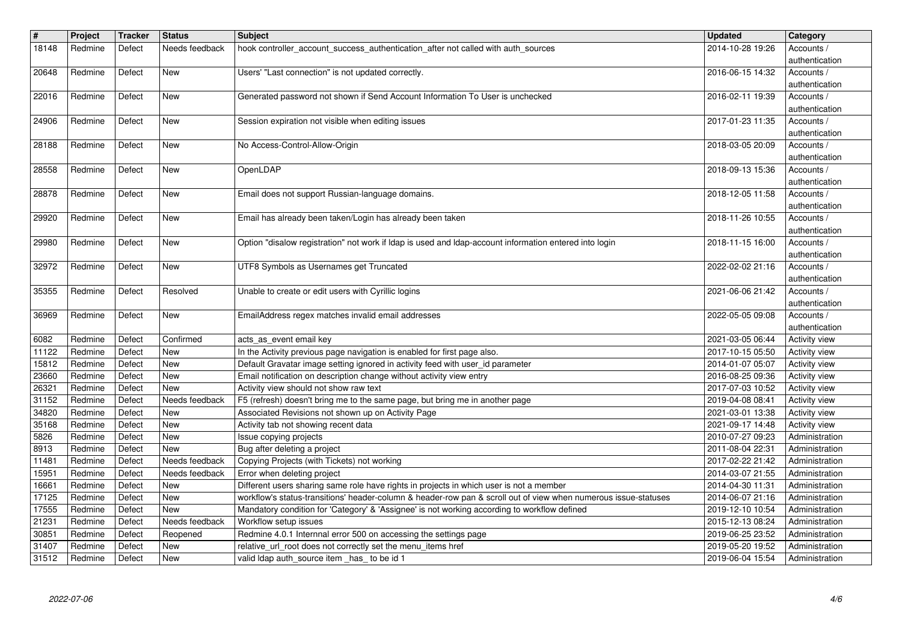| $\overline{\mathbf{H}}$ | Project            | <b>Tracker</b>   | <b>Status</b>              | Subject                                                                                                                                                                                                    | <b>Updated</b>                       | Category                               |
|-------------------------|--------------------|------------------|----------------------------|------------------------------------------------------------------------------------------------------------------------------------------------------------------------------------------------------------|--------------------------------------|----------------------------------------|
| 18148                   | Redmine            | Defect           | Needs feedback             | hook controller_account_success_authentication_after not called with auth_sources                                                                                                                          | 2014-10-28 19:26                     | Accounts /<br>authentication           |
| 20648                   | Redmine            | Defect           | New                        | Users' "Last connection" is not updated correctly.                                                                                                                                                         | 2016-06-15 14:32                     | Accounts /                             |
| 22016                   | Redmine            | Defect           | New                        | Generated password not shown if Send Account Information To User is unchecked                                                                                                                              | 2016-02-11 19:39                     | authentication<br>Accounts /           |
|                         |                    |                  |                            |                                                                                                                                                                                                            |                                      | authentication                         |
| 24906                   | Redmine            | Defect           | New                        | Session expiration not visible when editing issues                                                                                                                                                         | 2017-01-23 11:35                     | Accounts /                             |
| 28188                   | Redmine            | Defect           | New                        | No Access-Control-Allow-Origin                                                                                                                                                                             | 2018-03-05 20:09                     | authentication<br>Accounts /           |
|                         |                    |                  |                            |                                                                                                                                                                                                            |                                      | authentication                         |
| 28558                   | Redmine            | Defect           | <b>New</b>                 | OpenLDAP                                                                                                                                                                                                   | 2018-09-13 15:36                     | Accounts /<br>authentication           |
| 28878                   | Redmine            | Defect           | New                        | Email does not support Russian-language domains.                                                                                                                                                           | 2018-12-05 11:58                     | Accounts /                             |
| 29920                   | Redmine            | Defect           | New                        | Email has already been taken/Login has already been taken                                                                                                                                                  | 2018-11-26 10:55                     | authentication<br>Accounts /           |
|                         |                    |                  |                            |                                                                                                                                                                                                            |                                      | authentication                         |
| 29980                   | Redmine            | Defect           | New                        | Option "disalow registration" not work if Idap is used and Idap-account information entered into login                                                                                                     | 2018-11-15 16:00                     | Accounts /<br>authentication           |
| 32972                   | Redmine            | Defect           | New                        | UTF8 Symbols as Usernames get Truncated                                                                                                                                                                    | 2022-02-02 21:16                     | Accounts /                             |
| 35355                   | Redmine            | Defect           | Resolved                   | Unable to create or edit users with Cyrillic logins                                                                                                                                                        | 2021-06-06 21:42                     | authentication<br>Accounts /           |
|                         |                    |                  |                            |                                                                                                                                                                                                            |                                      | authentication                         |
| 36969                   | Redmine            | Defect           | New                        | EmailAddress regex matches invalid email addresses                                                                                                                                                         | 2022-05-05 09:08                     | Accounts /                             |
| 6082                    | Redmine            | Defect           | Confirmed                  | acts_as_event email key                                                                                                                                                                                    | 2021-03-05 06:44                     | authentication<br><b>Activity view</b> |
| 11122                   | Redmine            | Defect           | New                        | In the Activity previous page navigation is enabled for first page also.                                                                                                                                   | 2017-10-15 05:50                     | Activity view                          |
| 15812<br>23660          | Redmine<br>Redmine | Defect<br>Defect | New<br>New                 | Default Gravatar image setting ignored in activity feed with user_id parameter<br>Email notification on description change without activity view entry                                                     | 2014-01-07 05:07<br>2016-08-25 09:36 | Activity view<br>Activity view         |
| 26321                   | Redmine            | Defect           | <b>New</b>                 | Activity view should not show raw text                                                                                                                                                                     | 2017-07-03 10:52                     | Activity view                          |
| 31152<br>34820          | Redmine            | Defect           | Needs feedback             | F5 (refresh) doesn't bring me to the same page, but bring me in another page<br>Associated Revisions not shown up on Activity Page                                                                         | 2019-04-08 08:41                     | Activity view                          |
| 35168                   | Redmine<br>Redmine | Defect<br>Defect | New<br>New                 | Activity tab not showing recent data                                                                                                                                                                       | 2021-03-01 13:38<br>2021-09-17 14:48 | Activity view<br>Activity view         |
| 5826                    | Redmine            | Defect           | New                        | Issue copying projects                                                                                                                                                                                     | 2010-07-27 09:23                     | Administration                         |
| 8913<br>11481           | Redmine<br>Redmine | Defect<br>Defect | New<br>Needs feedback      | Bug after deleting a project<br>Copying Projects (with Tickets) not working                                                                                                                                | 2011-08-04 22:31<br>2017-02-22 21:42 | Administration<br>Administration       |
| 15951                   | Redmine            | Defect           | Needs feedback             | Error when deleting project                                                                                                                                                                                | 2014-03-07 21:55                     | Administration                         |
| 16661<br>17125          | Redmine<br>Redmine | Defect<br>Defect | New<br>New                 | Different users sharing same role have rights in projects in which user is not a member<br>workflow's status-transitions' header-column & header-row pan & scroll out of view when numerous issue-statuses | 2014-04-30 11:31<br>2014-06-07 21:16 | Administration<br>Administration       |
| 17555                   | Redmine            | Defect           | New                        | Mandatory condition for 'Category' & 'Assignee' is not working according to workflow defined                                                                                                               | 2019-12-10 10:54                     | Administration                         |
| 21231                   | Redmine            | Defect           | Needs feedback<br>Reopened | Workflow setup issues                                                                                                                                                                                      | 2015-12-13 08:24                     | Administration                         |
| 30851<br>31407          | Redmine<br>Redmine | Defect<br>Defect | New                        | Redmine 4.0.1 Internnal error 500 on accessing the settings page<br>relative_url_root does not correctly set the menu_items href                                                                           | 2019-06-25 23:52<br>2019-05-20 19:52 | Administration<br>Administration       |
| 31512                   | Redmine            | Defect           | New                        | valid Idap auth_source item _has_ to be id 1                                                                                                                                                               | 2019-06-04 15:54                     | Administration                         |
|                         |                    |                  |                            |                                                                                                                                                                                                            |                                      |                                        |
|                         |                    |                  |                            |                                                                                                                                                                                                            |                                      |                                        |
|                         |                    |                  |                            |                                                                                                                                                                                                            |                                      |                                        |
|                         |                    |                  |                            |                                                                                                                                                                                                            |                                      |                                        |
|                         |                    |                  |                            |                                                                                                                                                                                                            |                                      |                                        |
|                         |                    |                  |                            |                                                                                                                                                                                                            |                                      |                                        |
|                         |                    |                  |                            |                                                                                                                                                                                                            |                                      |                                        |
|                         |                    |                  |                            |                                                                                                                                                                                                            |                                      |                                        |
|                         |                    |                  |                            |                                                                                                                                                                                                            |                                      |                                        |
|                         |                    |                  |                            |                                                                                                                                                                                                            |                                      |                                        |
|                         |                    |                  |                            |                                                                                                                                                                                                            |                                      |                                        |
|                         |                    |                  |                            |                                                                                                                                                                                                            |                                      |                                        |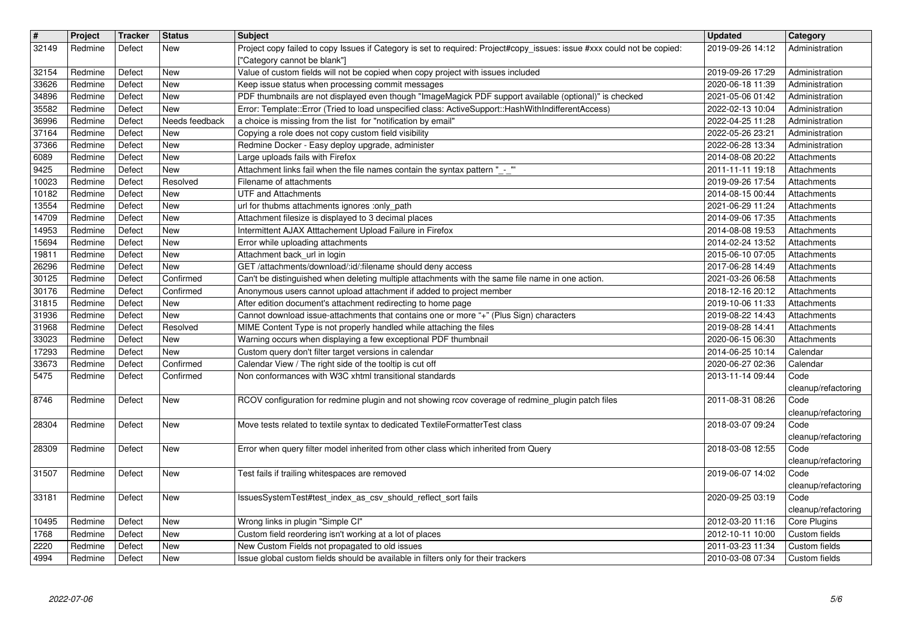| $\overline{\mathbf{H}}$<br>32149 | Project<br>Redmine | <b>Tracker</b><br>Defect | <b>Status</b><br>New         | Subject<br>Project copy failed to copy Issues if Category is set to required: Project#copy_issues: issue #xxx could not be copied:<br>["Category cannot be blank"]                | <b>Updated</b><br>2019-09-26 14:12   | Category<br>Administration          |
|----------------------------------|--------------------|--------------------------|------------------------------|-----------------------------------------------------------------------------------------------------------------------------------------------------------------------------------|--------------------------------------|-------------------------------------|
| 32154                            | Redmine            | Defect                   | <b>New</b>                   | Value of custom fields will not be copied when copy project with issues included                                                                                                  | 2019-09-26 17:29                     | Administration                      |
| 33626<br>34896                   | Redmine<br>Redmine | Defect<br>Defect         | <b>New</b><br><b>New</b>     | Keep issue status when processing commit messages<br>PDF thumbnails are not displayed even though "ImageMagick PDF support available (optional)" is checked                       | 2020-06-18 11:39<br>2021-05-06 01:42 | Administration<br>Administration    |
| 35582<br>36996                   | Redmine<br>Redmine | Defect<br>Defect         | <b>New</b><br>Needs feedback | Error: Template::Error (Tried to load unspecified class: ActiveSupport::HashWithIndifferentAccess)<br>a choice is missing from the list for "notification by email"               | 2022-02-13 10:04<br>2022-04-25 11:28 | Administration<br>Administration    |
| 37164<br>37366                   | Redmine<br>Redmine | Defect<br>Defect         | <b>New</b><br><b>New</b>     | Copying a role does not copy custom field visibility<br>Redmine Docker - Easy deploy upgrade, administer                                                                          | 2022-05-26 23:21<br>2022-06-28 13:34 | Administration<br>Administration    |
| 6089                             | Redmine            | Defect                   | <b>New</b>                   | Large uploads fails with Firefox                                                                                                                                                  | 2014-08-08 20:22                     | Attachments                         |
| 9425<br>10023                    | Redmine<br>Redmine | Defect<br>Defect         | <b>New</b><br>Resolved       | Attachment links fail when the file names contain the syntax pattern "_-_"<br>Filename of attachments                                                                             | 2011-11-11 19:18<br>2019-09-26 17:54 | Attachments<br>Attachments          |
| 10182<br>13554                   | Redmine<br>Redmine | Defect<br>Defect         | <b>New</b><br><b>New</b>     | <b>UTF and Attachments</b><br>url for thubms attachments ignores :only_path                                                                                                       | 2014-08-15 00:44<br>2021-06-29 11:24 | Attachments<br>Attachments          |
| 14709<br>14953                   | Redmine<br>Redmine | Defect<br>Defect         | <b>New</b><br><b>New</b>     | Attachment filesize is displayed to 3 decimal places<br>Intermittent AJAX Atttachement Upload Failure in Firefox                                                                  | 2014-09-06 17:35<br>2014-08-08 19:53 | Attachments<br>Attachments          |
| 15694                            | Redmine            | Defect                   | <b>New</b>                   | Error while uploading attachments                                                                                                                                                 | 2014-02-24 13:52                     | Attachments                         |
| 19811<br>26296                   | Redmine<br>Redmine | Defect<br>Defect         | New<br>New                   | Attachment back_url in login<br>GET /attachments/download/:id/:filename should deny access                                                                                        | 2015-06-10 07:05<br>2017-06-28 14:49 | Attachments<br>Attachments          |
| 30125<br>30176                   | Redmine<br>Redmine | Defect<br>Defect         | Confirmed<br>Confirmed       | Can't be distinguished when deleting multiple attachments with the same file name in one action.<br>Anonymous users cannot upload attachment if added to project member           | 2021-03-26 06:58<br>2018-12-16 20:12 | Attachments<br>Attachments          |
| 31815                            | Redmine            | Defect                   | <b>New</b>                   | After edition document's attachment redirecting to home page                                                                                                                      | 2019-10-06 11:33                     | Attachments                         |
| 31936<br>31968                   | Redmine<br>Redmine | Defect<br>Defect         | <b>New</b><br>Resolved       | Cannot download issue-attachments that contains one or more "+" (Plus Sign) characters<br>MIME Content Type is not properly handled while attaching the files                     | 2019-08-22 14:43<br>2019-08-28 14:41 | Attachments<br>Attachments          |
| 33023<br>17293                   | Redmine<br>Redmine | Defect<br>Defect         | <b>New</b><br><b>New</b>     | Warning occurs when displaying a few exceptional PDF thumbnail<br>Custom query don't filter target versions in calendar                                                           | 2020-06-15 06:30<br>2014-06-25 10:14 | Attachments<br>Calendar             |
| 33673                            | Redmine            | Defect                   | Confirmed<br>Confirmed       | Calendar View / The right side of the tooltip is cut off                                                                                                                          | 2020-06-27 02:36                     | Calendar                            |
| 5475                             | Redmine            | Defect                   |                              | Non conformances with W3C xhtml transitional standards                                                                                                                            | 2013-11-14 09:44                     | Code<br>cleanup/refactoring         |
| 8746<br>28304                    | Redmine<br>Redmine | Defect<br>Defect         | <b>New</b><br><b>New</b>     | RCOV configuration for redmine plugin and not showing rcov coverage of redmine_plugin patch files<br>Move tests related to textile syntax to dedicated TextileFormatterTest class | 2011-08-31 08:26<br>2018-03-07 09:24 | Code<br>cleanup/refactoring<br>Code |
| 28309                            | Redmine            | Defect                   | <b>New</b>                   | Error when query filter model inherited from other class which inherited from Query                                                                                               | 2018-03-08 12:55                     | cleanup/refactoring<br>Code         |
| 31507                            | Redmine            | Defect                   | New                          | Test fails if trailing whitespaces are removed                                                                                                                                    | 2019-06-07 14:02                     | cleanup/refactoring<br>Code         |
| 33181                            | Redmine            | Defect                   | <b>New</b>                   | IssuesSystemTest#test_index_as_csv_should_reflect_sort fails                                                                                                                      | 2020-09-25 03:19                     | cleanup/refactoring<br>Code         |
| 10495                            | Redmine            | Defect                   | <b>New</b>                   | Wrong links in plugin "Simple CI"                                                                                                                                                 | 2012-03-20 11:16                     | cleanup/refactoring<br>Core Plugins |
| 1768                             | Redmine            | Defect                   | <b>New</b><br>New            | Custom field reordering isn't working at a lot of places                                                                                                                          | 2012-10-11 10:00                     | Custom fields                       |
| 2220<br>4994                     | Redmine<br>Redmine | Defect<br>Defect         | New                          | New Custom Fields not propagated to old issues<br>Issue global custom fields should be available in filters only for their trackers                                               | 2011-03-23 11:34<br>2010-03-08 07:34 | Custom fields<br>Custom fields      |
|                                  | 2022-07-06         |                          |                              |                                                                                                                                                                                   |                                      |                                     |
|                                  |                    |                          |                              |                                                                                                                                                                                   |                                      |                                     |
|                                  |                    |                          |                              |                                                                                                                                                                                   |                                      |                                     |
|                                  |                    |                          |                              |                                                                                                                                                                                   |                                      |                                     |
|                                  |                    |                          |                              |                                                                                                                                                                                   |                                      |                                     |
|                                  |                    |                          |                              |                                                                                                                                                                                   |                                      |                                     |
|                                  |                    |                          |                              |                                                                                                                                                                                   |                                      |                                     |
|                                  |                    |                          |                              |                                                                                                                                                                                   |                                      |                                     |
|                                  |                    |                          |                              |                                                                                                                                                                                   |                                      |                                     |
|                                  |                    |                          |                              |                                                                                                                                                                                   |                                      |                                     |
|                                  |                    |                          |                              |                                                                                                                                                                                   |                                      |                                     |
|                                  |                    |                          |                              |                                                                                                                                                                                   |                                      |                                     |
|                                  |                    |                          |                              |                                                                                                                                                                                   |                                      |                                     |
|                                  |                    |                          |                              |                                                                                                                                                                                   |                                      |                                     |
|                                  |                    |                          |                              |                                                                                                                                                                                   |                                      |                                     |
|                                  |                    |                          |                              |                                                                                                                                                                                   |                                      |                                     |
|                                  |                    |                          |                              |                                                                                                                                                                                   |                                      |                                     |
|                                  |                    |                          |                              |                                                                                                                                                                                   |                                      |                                     |
|                                  |                    |                          |                              |                                                                                                                                                                                   |                                      |                                     |
|                                  |                    |                          |                              |                                                                                                                                                                                   |                                      |                                     |
|                                  |                    |                          |                              |                                                                                                                                                                                   |                                      |                                     |
|                                  |                    |                          |                              |                                                                                                                                                                                   |                                      |                                     |
|                                  |                    |                          |                              |                                                                                                                                                                                   |                                      |                                     |